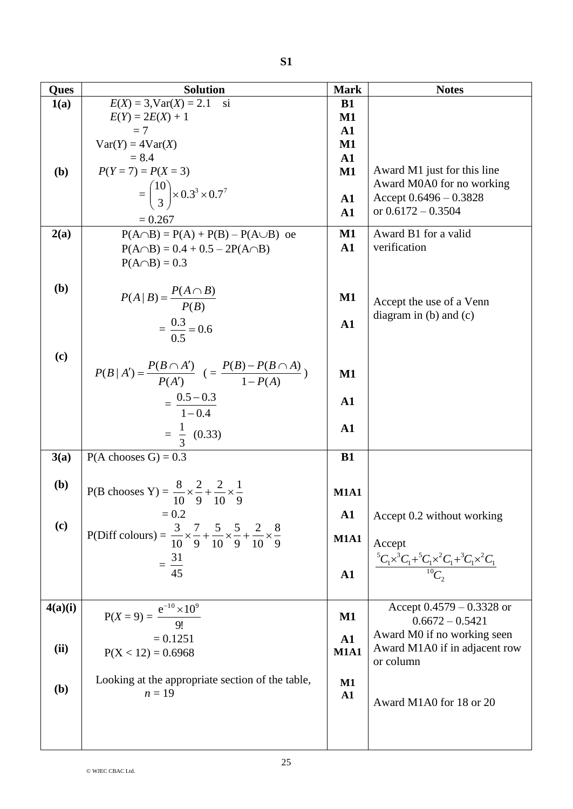| Ques    | <b>Solution</b>                                                                                                         | <b>Mark</b>                 | <b>Notes</b>                                                                                                  |
|---------|-------------------------------------------------------------------------------------------------------------------------|-----------------------------|---------------------------------------------------------------------------------------------------------------|
| 1(a)    | $E(X) = 3$ , $Var(X) = 2.1$<br>si                                                                                       | <b>B1</b>                   |                                                                                                               |
|         | $E(Y) = 2E(X) + 1$                                                                                                      | $\mathbf{M1}$               |                                                                                                               |
|         | $=7$                                                                                                                    | $\mathbf{A1}$               |                                                                                                               |
|         | $Var(Y) = 4Var(X)$<br>$= 8.4$                                                                                           | $\mathbf{M1}$<br>${\bf A1}$ |                                                                                                               |
| (b)     | $P(Y = 7) = P(X = 3)$                                                                                                   | $\mathbf{M1}$               | Award M1 just for this line                                                                                   |
|         |                                                                                                                         |                             | Award M0A0 for no working                                                                                     |
|         | $=\binom{10}{3}$ × 0.3 <sup>3</sup> × 0.7 <sup>7</sup>                                                                  | $\mathbf{A1}$               | Accept $0.6496 - 0.3828$                                                                                      |
|         | $= 0.267$                                                                                                               | $\mathbf{A1}$               | or $0.6172 - 0.3504$                                                                                          |
| 2(a)    | $P(A \cap B) = P(A) + P(B) - P(A \cup B)$ oe                                                                            | $\mathbf{M1}$               | Award B1 for a valid                                                                                          |
|         | $P(A \cap B) = 0.4 + 0.5 - 2P(A \cap B)$                                                                                | ${\bf A1}$                  | verification                                                                                                  |
|         | $P(A \cap B) = 0.3$                                                                                                     |                             |                                                                                                               |
|         |                                                                                                                         |                             |                                                                                                               |
| (b)     | $P(A   B) = \frac{P(A \cap B)}{P(B)}$                                                                                   | $\mathbf{M1}$               |                                                                                                               |
|         |                                                                                                                         |                             | Accept the use of a Venn<br>diagram in $(b)$ and $(c)$                                                        |
|         | $=\frac{0.3}{0.5}=0.6$                                                                                                  | $\mathbf{A1}$               |                                                                                                               |
|         |                                                                                                                         |                             |                                                                                                               |
| (c)     |                                                                                                                         |                             |                                                                                                               |
|         | $P(B A') = \frac{P(B \cap A')}{P(A')} \ \ ( = \frac{P(B) - P(B \cap A)}{1 - P(A)} )$                                    | $\mathbf{M1}$               |                                                                                                               |
|         |                                                                                                                         |                             |                                                                                                               |
|         | $=\frac{0.5-0.3}{1-0.4}$                                                                                                | $\mathbf{A1}$               |                                                                                                               |
|         |                                                                                                                         | ${\bf A1}$                  |                                                                                                               |
|         | $=\frac{1}{3}$ (0.33)                                                                                                   |                             |                                                                                                               |
| 3(a)    | $P(A \text{ chooses } G) = 0.3$                                                                                         | <b>B1</b>                   |                                                                                                               |
|         |                                                                                                                         |                             |                                                                                                               |
| (b)     | P(B chooses Y) = $\frac{8}{10} \times \frac{2}{9} + \frac{2}{10} \times \frac{1}{9}$                                    | <b>M1A1</b>                 |                                                                                                               |
|         |                                                                                                                         |                             |                                                                                                               |
| (c)     | $= 0.2$                                                                                                                 | $\mathbf{A1}$               | Accept 0.2 without working                                                                                    |
|         | P(Diff colours) = $\frac{3}{10} \times \frac{7}{9} + \frac{5}{10} \times \frac{5}{9} + \frac{2}{10} \times \frac{8}{9}$ | <b>M1A1</b>                 | Accept                                                                                                        |
|         |                                                                                                                         |                             |                                                                                                               |
|         | $=\frac{31}{45}$                                                                                                        | ${\bf A1}$                  | ${}^{5}C_{1}\times {}^{3}C_{1}+{}^{5}C_{1}\times {}^{2}C_{1}+{}^{3}C_{1}\times {}^{2}C_{1}$<br>${}^{10}C_{2}$ |
|         |                                                                                                                         |                             |                                                                                                               |
| 4(a)(i) |                                                                                                                         |                             | Accept $0.4579 - 0.3328$ or                                                                                   |
|         | $P(X = 9) = \frac{e^{-10} \times 10^9}{9!}$                                                                             | $\mathbf{M1}$               | $0.6672 - 0.5421$                                                                                             |
|         | $= 0.1251$                                                                                                              | ${\bf A1}$                  | Award M0 if no working seen                                                                                   |
| (ii)    | $P(X < 12) = 0.6968$                                                                                                    | <b>M1A1</b>                 | Award M1A0 if in adjacent row                                                                                 |
|         |                                                                                                                         |                             | or column                                                                                                     |
| (b)     | Looking at the appropriate section of the table,                                                                        | M1                          |                                                                                                               |
|         | $n=19$                                                                                                                  | A1                          | Award M1A0 for 18 or 20                                                                                       |
|         |                                                                                                                         |                             |                                                                                                               |
|         |                                                                                                                         |                             |                                                                                                               |
|         |                                                                                                                         |                             |                                                                                                               |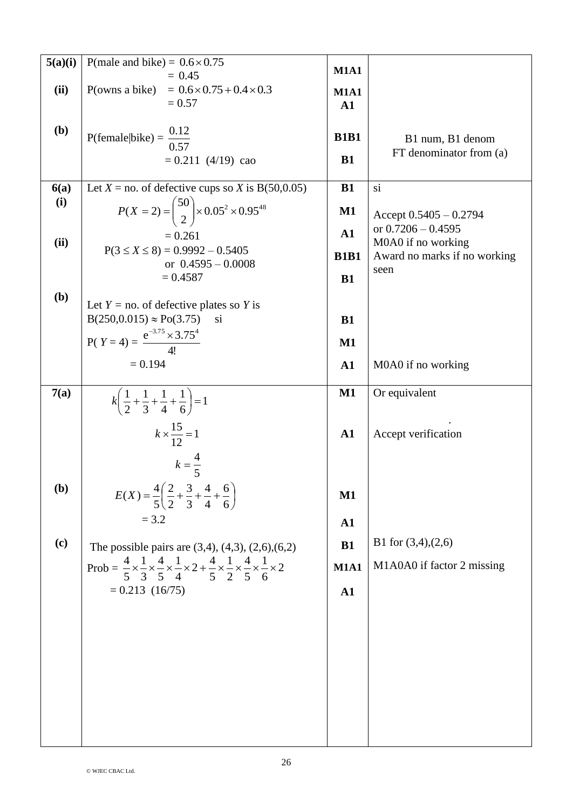| 5(a)(i) | P(male and bike) = $0.6 \times 0.75$                                                                                                                                   | <b>M1A1</b>   |                              |
|---------|------------------------------------------------------------------------------------------------------------------------------------------------------------------------|---------------|------------------------------|
|         | $= 0.45$                                                                                                                                                               |               |                              |
| (ii)    | P(owns a bike) = $0.6 \times 0.75 + 0.4 \times 0.3$<br>$= 0.57$                                                                                                        | <b>M1A1</b>   |                              |
|         |                                                                                                                                                                        | $\mathbf{A1}$ |                              |
| (b)     |                                                                                                                                                                        |               |                              |
|         | P(female bike) = $\frac{0.12}{0.57}$                                                                                                                                   | <b>B1B1</b>   | B1 num, B1 denom             |
|         | $= 0.211$ (4/19) cao                                                                                                                                                   | <b>B1</b>     | FT denominator from (a)      |
|         |                                                                                                                                                                        |               |                              |
| 6(a)    | Let $X =$ no. of defective cups so X is B(50,0.05)                                                                                                                     | <b>B1</b>     | si                           |
| (i)     | $P(X = 2) = {50 \choose 2} \times 0.05^2 \times 0.95^{48}$                                                                                                             | $\mathbf{M1}$ | Accept $0.5405 - 0.2794$     |
|         |                                                                                                                                                                        |               | or $0.7206 - 0.4595$         |
| (ii)    | $= 0.261$<br>$P(3 \le X \le 8) = 0.9992 - 0.5405$                                                                                                                      | ${\bf A1}$    | M0A0 if no working           |
|         | or $0.4595 - 0.0008$                                                                                                                                                   | <b>B1B1</b>   | Award no marks if no working |
|         | $= 0.4587$                                                                                                                                                             | <b>B1</b>     | seen                         |
| (b)     |                                                                                                                                                                        |               |                              |
|         | Let $Y = no$ of defective plates so Y is                                                                                                                               |               |                              |
|         | $B(250, 0.015) \approx Po(3.75)$<br>S <sub>1</sub>                                                                                                                     | <b>B1</b>     |                              |
|         | P(Y=4) = $\frac{e^{-3.75} \times 3.75^4}{4!}$                                                                                                                          | $\mathbf{M1}$ |                              |
|         | $= 0.194$                                                                                                                                                              |               |                              |
|         |                                                                                                                                                                        | $\mathbf{A1}$ | M0A0 if no working           |
| 7(a)    |                                                                                                                                                                        | $\mathbf{M1}$ | Or equivalent                |
|         | $k\left(\frac{1}{2} + \frac{1}{3} + \frac{1}{4} + \frac{1}{6}\right) = 1$                                                                                              |               |                              |
|         |                                                                                                                                                                        |               |                              |
|         | $k \times \frac{15}{12} = 1$                                                                                                                                           | $\mathbf{A1}$ | Accept verification          |
|         | $k = \frac{4}{5}$                                                                                                                                                      |               |                              |
|         |                                                                                                                                                                        |               |                              |
| (b)     | $E(X) = \frac{4}{5} \left( \frac{2}{2} + \frac{3}{3} + \frac{4}{4} + \frac{6}{6} \right)$                                                                              | $\mathbf{M1}$ |                              |
|         |                                                                                                                                                                        |               |                              |
|         | $= 3.2$                                                                                                                                                                | $\mathbf{A1}$ |                              |
| (c)     | The possible pairs are $(3,4)$ , $(4,3)$ , $(2,6)$ , $(6,2)$                                                                                                           | <b>B1</b>     | B1 for $(3,4)$ , $(2,6)$     |
|         |                                                                                                                                                                        |               |                              |
|         | Prob = $\frac{4}{5} \times \frac{1}{3} \times \frac{4}{5} \times \frac{1}{4} \times 2 + \frac{4}{5} \times \frac{1}{2} \times \frac{4}{5} \times \frac{1}{6} \times 2$ | <b>M1A1</b>   | M1A0A0 if factor 2 missing   |
|         | $= 0.213(16/75)$                                                                                                                                                       | $\mathbf{A1}$ |                              |
|         |                                                                                                                                                                        |               |                              |
|         |                                                                                                                                                                        |               |                              |
|         |                                                                                                                                                                        |               |                              |
|         |                                                                                                                                                                        |               |                              |
|         |                                                                                                                                                                        |               |                              |
|         |                                                                                                                                                                        |               |                              |
|         |                                                                                                                                                                        |               |                              |
|         |                                                                                                                                                                        |               |                              |
|         |                                                                                                                                                                        |               |                              |